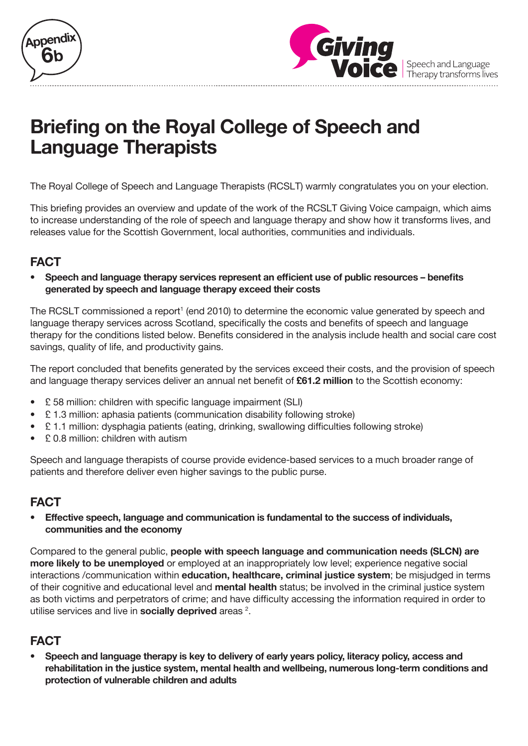



Speech and Language Therapy transforms lives

# **Briefing on the Royal College of Speech and Language Therapists**

The Royal College of Speech and Language Therapists (RCSLT) warmly congratulates you on your election.

This briefing provides an overview and update of the work of the RCSLT Giving Voice campaign, which aims to increase understanding of the role of speech and language therapy and show how it transforms lives, and releases value for the Scottish Government, local authorities, communities and individuals.

# **FACT**

**• Speech and language therapy services represent an efficient use of public resources – benefits generated by speech and language therapy exceed their costs**

The RCSLT commissioned a report<sup>1</sup> (end 2010) to determine the economic value generated by speech and language therapy services across Scotland, specifically the costs and benefits of speech and language therapy for the conditions listed below. Benefits considered in the analysis include health and social care cost savings, quality of life, and productivity gains.

The report concluded that benefits generated by the services exceed their costs, and the provision of speech and language therapy services deliver an annual net benefit of **£61.2 million** to the Scottish economy:

- £ 58 million: children with specific language impairment (SLI)
- £ 1.3 million: aphasia patients (communication disability following stroke)
- £ 1.1 million: dysphagia patients (eating, drinking, swallowing difficulties following stroke)
- £ 0.8 million: children with autism

Speech and language therapists of course provide evidence-based services to a much broader range of patients and therefore deliver even higher savings to the public purse.

## **FACT**

**• Effective speech, language and communication is fundamental to the success of individuals, communities and the economy**

Compared to the general public, **people with speech language and communication needs (SLCN) are more likely to be unemployed** or employed at an inappropriately low level; experience negative social interactions /communication within **education, healthcare, criminal justice system**; be misjudged in terms of their cognitive and educational level and **mental health** status; be involved in the criminal justice system as both victims and perpetrators of crime; and have difficulty accessing the information required in order to utilise services and live in **socially deprived** areas <sup>2</sup>.

# **FACT**

**• Speech and language therapy is key to delivery of early years policy, literacy policy, access and rehabilitation in the justice system, mental health and wellbeing, numerous long-term conditions and protection of vulnerable children and adults**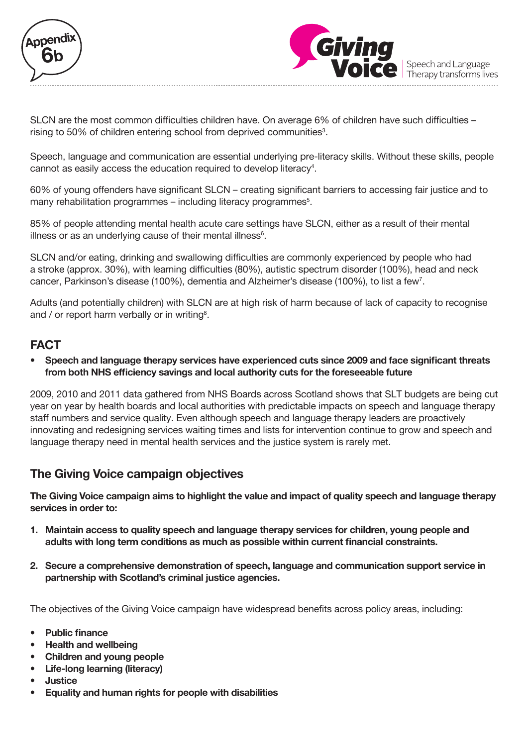



SLCN are the most common difficulties children have. On average 6% of children have such difficulties – rising to 50% of children entering school from deprived communities<sup>3</sup>.

Speech, language and communication are essential underlying pre-literacy skills. Without these skills, people cannot as easily access the education required to develop literacy<sup>4</sup>.

60% of young offenders have significant SLCN – creating significant barriers to accessing fair justice and to many rehabilitation programmes – including literacy programmes<sup>5</sup>.

85% of people attending mental health acute care settings have SLCN, either as a result of their mental illness or as an underlying cause of their mental illness<sup>6</sup>.

SLCN and/or eating, drinking and swallowing difficulties are commonly experienced by people who had a stroke (approx. 30%), with learning difficulties (80%), autistic spectrum disorder (100%), head and neck cancer, Parkinson's disease (100%), dementia and Alzheimer's disease (100%), to list a few<sup>7</sup>.

Adults (and potentially children) with SLCN are at high risk of harm because of lack of capacity to recognise and / or report harm verbally or in writing<sup>8</sup>.

## **FACT**

**• Speech and language therapy services have experienced cuts since 2009 and face significant threats from both NHS efficiency savings and local authority cuts for the foreseeable future**

2009, 2010 and 2011 data gathered from NHS Boards across Scotland shows that SLT budgets are being cut year on year by health boards and local authorities with predictable impacts on speech and language therapy staff numbers and service quality. Even although speech and language therapy leaders are proactively innovating and redesigning services waiting times and lists for intervention continue to grow and speech and language therapy need in mental health services and the justice system is rarely met.

## **The Giving Voice campaign objectives**

**The Giving Voice campaign aims to highlight the value and impact of quality speech and language therapy services in order to:** 

- **1. Maintain access to quality speech and language therapy services for children, young people and adults with long term conditions as much as possible within current financial constraints.**
- **2. Secure a comprehensive demonstration of speech, language and communication support service in partnership with Scotland's criminal justice agencies.**

The objectives of the Giving Voice campaign have widespread benefits across policy areas, including:

- **• Public finance**
- **• Health and wellbeing**
- **• Children and young people**
- **• Life-long learning (literacy)**
- **• Justice**
- **• Equality and human rights for people with disabilities**